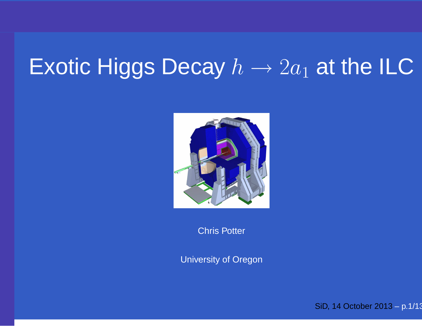#### Exotic Higgs Decay  $h\to 2a_1$  $_1$  at the ILC



Chris Potter

University of Oregon

SiD, <sup>14</sup> October 2013 – p.1/13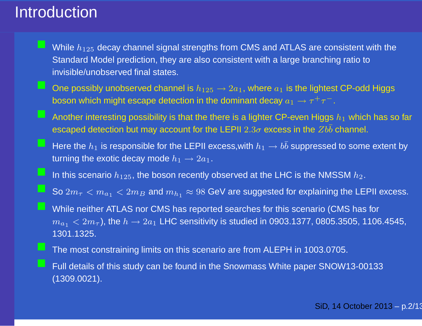#### Introduction

- While  $h_{125}$  decay channel signal strengths from CMS and ATLAS are consistent with the Standard Model prediction, they are also consistent with <sup>a</sup> large branching ratio toinvisible/unobserved final states.
- One possibly unobserved channel is  $h_{125} \rightarrow 2a_1$ , where  $a_1$  is the lightest CP-odd Higgs<br>becan which might escape detection in the deminant decay  $a_1 \rightarrow \pi^+ \pi^$ boson which might escape detection in the dominant decay  $a_1\to \tau^+\tau^-$ .
	- Another interesting possibility is that the there is a lighter CP-even Higgs  $h_1$  which has so far escaped detection but may account for the LEPII  $2.3\sigma$  excess in the  $Zb\bar{b}$  channel.
- Here the  $h_1$  is responsible for the LEPII excess, with  $h_1 \to b\bar{b}$  suppressed to some extent by<br>turning the exctic decay mode  $h_1 \to 2\pi$ turning the exotic decay mode  $h_1 \rightarrow 2 a_1.$
- In this scenario  $h_{125}$ , the boson recently observed at the LHC is the NMSSM  $h_2$ .
- So  $2m_{\tau} < m_{a_1} < 2m_B$  and  $m_{h_1} \approx 98$  GeV are suggested for explaining the LEPII excess.
- While neither ATLAS nor CMS has reported searches for this scenario (CMS has for  $m_{a_1} < 2 m_\tau$ ), the  $h \to 2 a_1$  LHC sensitivity is studied in 0903.1377, 0805.3505, 1106.4545,<br>1301,1325 1301.1325.
- The most constraining limits on this scenario are from ALEPH in 1003.0705.
- Full details of this study can be found in the Snowmass White paper SNOW13-00133 (1309.0021).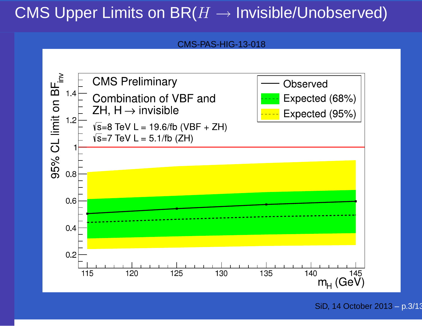#### CMS Upper Limits on BR( $H\to$  $\rightarrow$  Invisible/Unobserved)

CMS-PAS-HIG-13-018



SiD, <sup>14</sup> October 2013 – p.3/13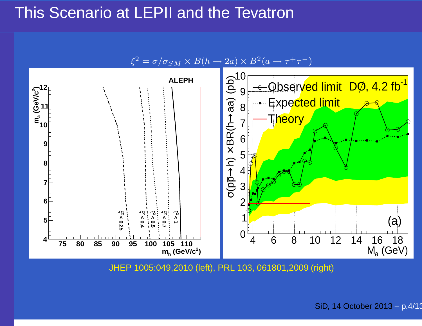### This Scenario at LEPII and the Tevatron





JHEP 1005:049,2010 (left), PRL 103, 061801,2009 (right)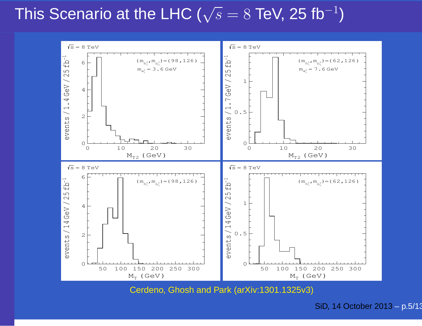#### This Scenario at the LHC ( $\sqrt{s}=8$  TeV, 25 fb $^{-1}$  $\left( \frac{1}{2} \right)$



Cerdeno, Ghosh and Park (arXiv:1301.1325v3)

SiD, <sup>14</sup> October 2013 – p.5/13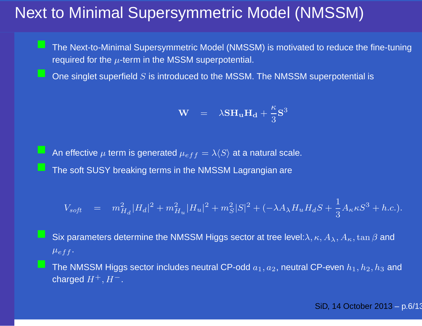### Next to Minimal Supersymmetric Model (NMSSM)

 The Next-to-Minimal Supersymmetric Model (NMSSM) is motivated to reduce the fine-tuning required for the  $\mu$ -term in the MSSM superpotential.

One singlet superfield  $S$  is introduced to the MSSM. The NMSSM superpotential is

$$
\mathbf{W} = \lambda \mathbf{S} \mathbf{H}_{\mathbf{u}} \mathbf{H}_{\mathbf{d}} + \frac{\kappa}{3} \mathbf{S}^3
$$

An effective  $\mu$  term is generated  $\mu_{eff}=\lambda\langle S\rangle$  at a natural scale. The soft SUSY breaking terms in the NMSSM Lagrangian are

$$
V_{soft} = m_{H_d}^2 |H_d|^2 + m_{H_u}^2 |H_u|^2 + m_S^2 |S|^2 + (-\lambda A_{\lambda} H_u H_d S + \frac{1}{3} A_{\kappa} \kappa S^3 + h.c.).
$$

- Six parameters determine the NMSSM Higgs sector at tree level: $\lambda, \kappa, A_\lambda, A_\kappa, \tan\beta$  and  $\mu_{eff}$  .
- The NMSSM Higgs sector includes neutral CP-odd  $a_1, a_2$ , neutral CP-even  $h_1, h_2, h_3$  and charged  $H^+, H^-.$

SiD, <sup>14</sup> October 2013 – p.6/13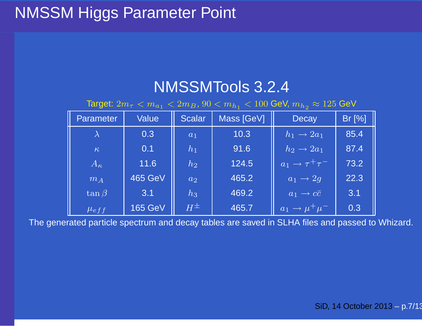### NMSSM Higgs Parameter Point

#### NMSSMTools 3.2.4

Target:  $2m_{\tau} < m_{a_1} < 2m_B$ ,  $90 < m_{h_1} < 100$  GeV,  $m_{h_2} \approx 125$  GeV

| Parameter    | <b>Value</b>   | <b>Scalar</b> | Mass [GeV] | <b>Decay</b>                             | Br [%] |
|--------------|----------------|---------------|------------|------------------------------------------|--------|
|              | 0.3            | $a_1$         | 10.3       | $h_1 \rightarrow 2a_1$                   | 85.4   |
| $\kappa$     | 0.1            | $h_1$         | 91.6       | $h_2 \rightarrow 2a_1$                   | 87.4   |
| $A_{\kappa}$ | 11.6           | $h_2$         | 124.5      | $\boxed{a_1} \rightarrow \tau^+ \tau^-$  | 73.2   |
| $m_A$        | <b>465 GeV</b> | $a_2$         | 465.2      | $\overline{ a_1\to 2g }$                 | 22.3   |
| $\tan \beta$ | 3.1            | $h_3$         | 469.2      | $ a_1 \rightarrow c\bar{c} $             | 3.1    |
| $\mu_{eff}$  | <b>165 GeV</b> | $H^{\pm}$     | 465.7      | $\overline{a_1 \rightarrow \mu^+ \mu^-}$ | 0.3    |

The generated particle spectrum and decay tables are saved in SLHA files and passed to Whizard.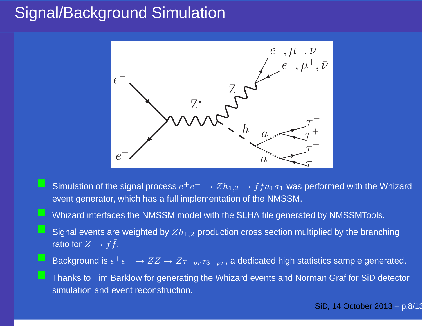### Signal/Background Simulation



- Simulation of the signal process  $e^+e^- \to Zh_{1,2} \to f\bar{f}a_1a_1$  was performed with the Whizard<br>
event generator, which has a full implementation of the NMSSM event generator, which has <sup>a</sup> full implementation of the NMSSM.
	- Whizard interfaces the NMSSM model with the SLHA file generated by NMSSMTools.
- Signal events are weighted by  $Zh_{1,2}$  production cross section multiplied by the branching ratio for  $Z\rightarrow f\bar{f}.$
- Background is  $e^+e^-\to ZZ\to Z\tau$  ${}_{-p r} \tau_{3-p r}$ , a dedicated high statistics sample generated.

 Thanks to Tim Barklow for generating the Whizard events and Norman Graf for SiD detector simulation and event reconstruction.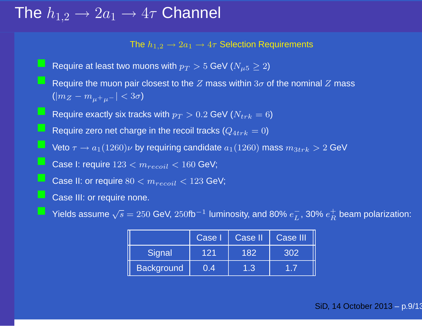# The  $h_{1,2} \rightarrow 2a_1 \rightarrow 4\tau$  Channel

The  $h_{1,2} \rightarrow 2 a_1 \rightarrow 4 \tau$  Selection Requirements

Require at least two muons with  $p_T > 5$  GeV ( $N_{\mu5} \geq 2$ ) Require the muon pair closest to the Z mass within  $3\sigma$  of the nominal Z mass  $(|m_{Z}-m_{\mu^+\mu^-}|< 3\sigma)$ Require exactly six tracks with  $p_T > 0.2$  GeV ( $N_{trk} = 6$ ) Require zero net charge in the recoil tracks  $(Q_{4trk} = 0)$ Veto  $\tau \to a_1(1260) \nu$  by requiring candidate  $a_1(1260)$  mass  $m_{3trk} > 2$  GeV Case I: require  $123 < m_{recoil} < 160$  GeV; **Case II: or require**  $80 < m_{recoil} < 123$  GeV; Case III: or require none.

P Yields assume  $\sqrt{s} = 250$  GeV,  $250$ fb<sup>-1</sup> luminosity, and 80%  $e^-_L$ , 30%  $e^+_R$  beam polarization:

|                   | Case I | Case II | <b>Case III</b> |
|-------------------|--------|---------|-----------------|
| Signal            | 121    | 182     | 302             |
| <b>Background</b> | 0.4    | 1.3     |                 |

SiD, <sup>14</sup> October 2013 – p.9/13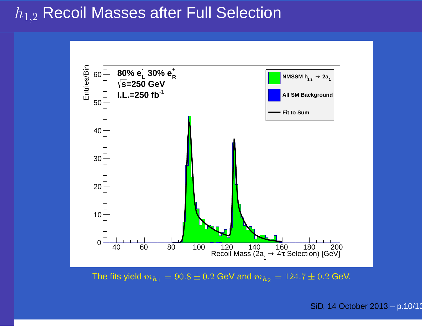### $h_{1,2}$  Recoil Masses after Full Selection



The fits yield  $m_{h_1} = 90.8 \pm 0.2$  GeV and  $m_{h_2} = 124.7 \pm 0.2$  GeV.

SiD, <sup>14</sup> October 2013 – p.10/13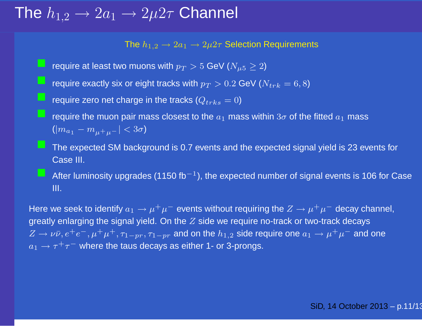# The  $h_{1,2} \rightarrow 2a_1 \rightarrow 2 \mu 2 \tau$  Channel

The  $h_{1,2}\rightarrow 2a_1\rightarrow 2\mu 2\tau$  Selection Requirements

- require at least two muons with  $p_T > 5$  GeV ( $N_{\mu5} \geq 2$ )
- require exactly six or eight tracks with  $p_T > 0.2$  GeV ( $N_{trk} = 6, 8$ )
	- require zero net charge in the tracks  $(Q_{trks} = 0)$

require the muon pair mass closest to the  $a_1$  mass within  $3\sigma$  of the fitted  $a_1$  mass  $(|m_{a_1}-m_{\mu^+\mu^-}|< 3\sigma)$ 

The expected SM background is 0.7 events and the expected signal yield is 23 events for Case III.

After luminosity upgrades (1150 fb<sup>-1</sup>), the expected number of signal events is 106 for Case III.

Here we seek to identify  $a_1 \to \mu^+ \mu^-$  events without requiring the  $Z \to \mu^+ \mu^-$  decay channel,<br>areatly enlarging the signal viold. On the Z side we require no track at two track decays. greatly enlarging the signal yield. On the  $Z$  side we require no-track or two-track decays  $Z\to\nu\bar{\nu}, e^+e^-, \mu^+\mu^+, \tau_{1-pr}, \tau_{1-pr}$  and on the  $h_{1,2}$  side require one  $a_1\to\mu^+\mu^-$  and one  $a_1\rightarrow \tau^+\tau^-$  where the taus decays as either 1- or 3-prongs.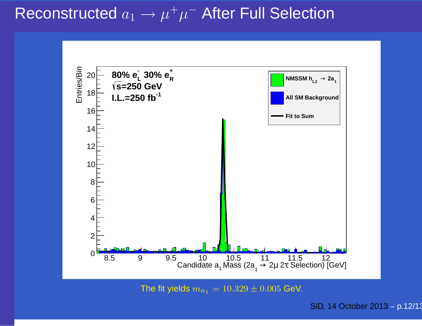Reconstructeda  $a_1 \rightarrow$  $\rightarrow \mu^+\mu^-$  After Full Selection



The fit yields  $m_{a_{1}} = 10.329 \pm 0.005$  GeV.

SiD, <sup>14</sup> October 2013 – p.12/13